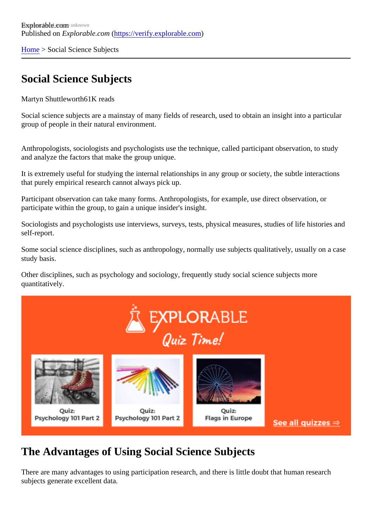[Home](https://verify.explorable.com/)> Social Science Subjects

## Social Science Subjects

Martyn Shuttlewort<sup>61</sup>K reads

Social science subjects are a mainstay of many fields of research, used to obtain an insight into a particular group of people in their natural environment.

Anthropologists, sociologists and psychologists use the technique, called participant observation, to study and analyze the factors that make the group unique.

It is extremely useful for studying the internal relationships in any group or society, the subtle interactions that purely empirical research cannot always pick up.

Participant observation can take many forms. Anthropologists, for example, use direct observation, or participate within the group, to gain a unique insider's insight.

Sociologists and psychologists use interviews, surveys, tests, physical measures, studies of life histories and self-report.

Some social science disciplines, such as anthropology, normally use subjects qualitatively, usually on a ca study basis.

Other disciplines, such as psychology and sociology, frequently study social science subjects more quantitatively.

## The Advantages of Using Social Science Subjects

There are many advantages to using participation research, and there is little doubt that human research subjects generate excellent data.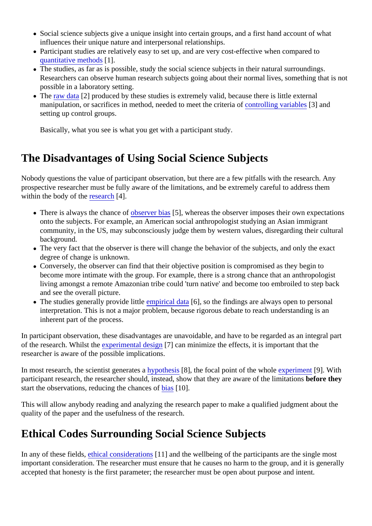- Social science subjects give a unique insight into certain groups, and a first hand account of what influences their unique nature and interpersonal relationships.
- Participant studies are relatively easy to set up, and are very cost-effective when compared to [quantitative method](https://verify.explorable.com/quantitative-research-design)s [.
- The studies, as far as is possible, study the social science subjects in their natural surroundings. Researchers can observe human research subjects going about their normal lives, something that is possible in a laboratory setting.
- The [raw data](https://verify.explorable.com/raw-data-processing) 2] produced by these studies is extremely valid, because there is little external manipulation, or sacrifices in method, needed to meet the criterant folling variable \$3] and setting up control groups.

Basically, what you see is what you get with a participant study.

## The Disadvantages of Using Social Science Subjects

Nobody questions the value of participant observation, but there are a few pitfalls with the research. Any prospective researcher must be fully aware of the limitations, and be extremely careful to address them within the body of the esearch<sup>[4]</sup>.

- There is always the chance of server biast, whereas the observer imposes their own expectations onto the subjects. For example, an American social anthropologist studying an Asian immigrant community, in the US, may subconsciously judge them by western values, disregarding their cultural background.
- The very fact that the observer is there will change the behavior of the subjects, and only the exact degree of change is unknown.
- Conversely, the observer can find that their objective position is compromised as they begin to become more intimate with the group. For example, there is a strong chance that an anthropologist living amongst a remote Amazonian tribe could 'turn native' and become too embroiled to step back and see the overall picture.
- The studies generally provide littenpirical data<sup>6</sup>], so the findings are always open to personal interpretation. This is not a major problem, because rigorous debate to reach understanding is an inherent part of the process.

In participant observation, these disadvantages are unavoidable, and have to be regarded as an integral participant of the research. Whilst the sperimental design<sup>7</sup> can minimize the effects, it is important that the researcher is aware of the possible implications.

In most research, the scientist generates pathesis<sup>[8]</sup>, the focal point of the whole *xperiment*[9]. With participant research, the researcher should, instead, show that they are aware of the libertation they start the observations, reducing the chances as [10].

This will allow anybody reading and analyzing the research paper to make a qualified judgment about the quality of the paper and the usefulness of the research.

## Ethical Codes Surrounding Social Science Subjects

In any of these field sthical considerations 1] and the wellbeing of the participants are the single most important consideration. The researcher must ensure that he causes no harm to the group, and it is gener accepted that honesty is the first parameter; the researcher must be open about purpose and intent.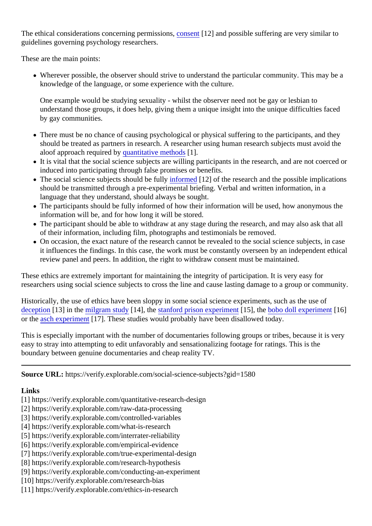The ethical considerations concerning permissions, entil and possible suffering are very similar to guidelines governing psychology researchers.

These are the main points:

• Wherever possible, the observer should strive to understand the particular community. This may be knowledge of the language, or some experience with the culture.

One example would be studying sexuality - whilst the observer need not be gay or lesbian to understand those groups, it does help, giving them a unique insight into the unique difficulties faced by gay communities.

- There must be no chance of causing psychological or physical suffering to the participants, and they should be treated as partners in research. A researcher using human research subjects must avoid t aloof approach required by uantitative methods ].
- It is vital that the social science subjects are willing participants in the research, and are not coerced induced into participating through false promises or benefits.
- The social science subjects should be full formed[12] of the research and the possible implications should be transmitted through a pre-experimental briefing. Verbal and written information, in a language that they understand, should always be sought.
- The participants should be fully informed of how their information will be used, how anonymous the information will be, and for how long it will be stored.
- The participant should be able to withdraw at any stage during the research, and may also ask that all of their information, including film, photographs and testimonials be removed.
- On occasion, the exact nature of the research cannot be revealed to the social science subjects, in c it influences the findings. In this case, the work must be constantly overseen by an independent ethic review panel and peers. In addition, the right to withdraw consent must be maintained.

These ethics are extremely important for maintaining the integrity of participation. It is very easy for researchers using social science subjects to cross the line and cause lasting damage to a group or comminity.

Historically, the use of ethics have been sloppy in some social science experiments, such as the use of [deception](https://verify.explorable.com/deception-and-research)[13] in the [milgram study](https://verify.explorable.com/milgram-experiment-ethics)[14], the [stanford prison experime](https://verify.explorable.com/stanford-prison-experiment)nt [5], the [bobo doll experimen](https://verify.explorable.com/bobo-doll-experiment)t [16] or the [asch experimen](https://verify.explorable.com/asch-experiment)t 7]. These studies would probably have been disallowed today.

This is especially important with the number of documentaries following groups or tribes, because it is very easy to stray into attempting to edit unfavorably and sensationalizing footage for ratings. This is the boundary between genuine documentaries and cheap reality TV.

Source URL: https://verify.explorable.com/social-science-subjects?gid=1580

Links

- [1] https://verify.explorable.com/quantitative-research-design
- [2] https://verify.explorable.com/raw-data-processing
- [3] https://verify.explorable.com/controlled-variables
- [4] https://verify.explorable.com/what-is-research
- [5] https://verify.explorable.com/interrater-reliability
- [6] https://verify.explorable.com/empirical-evidence
- [7] https://verify.explorable.com/true-experimental-design
- [8] https://verify.explorable.com/research-hypothesis
- [9] https://verify.explorable.com/conducting-an-experiment
- [10] https://verify.explorable.com/research-bias
- [11] https://verify.explorable.com/ethics-in-research